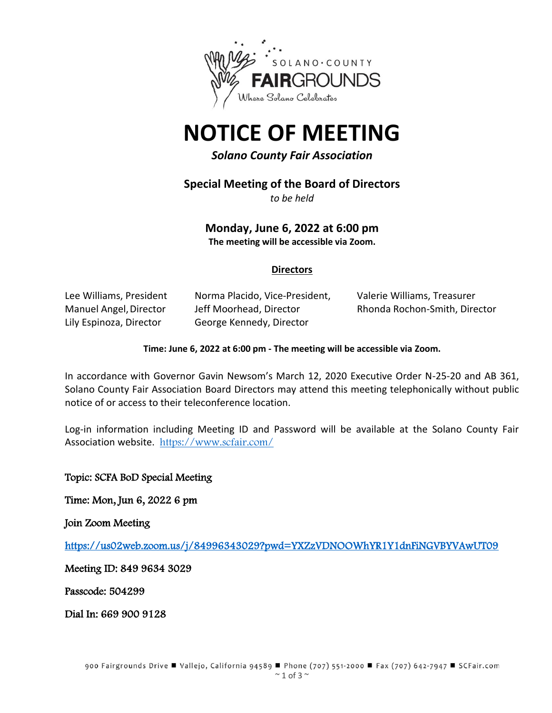

# **NOTICE OF MEETING**

*Solano County Fair Association*

**Special Meeting of the Board of Directors**

*to be held*

**Monday, June 6, 2022 at 6:00 pm The meeting will be accessible via Zoom.**

# **Directors**

Lily Espinoza, Director George Kennedy, Director

Lee Williams, President Norma Placido, Vice-President, Valerie Williams, Treasurer Manuel Angel,Director Jeff Moorhead, Director Rhonda Rochon-Smith, Director

#### **Time: June 6, 2022 at 6:00 pm - The meeting will be accessible via Zoom.**

In accordance with Governor Gavin Newsom's March 12, 2020 Executive Order N-25-20 and AB 361, Solano County Fair Association Board Directors may attend this meeting telephonically without public notice of or access to their teleconference location.

Log-in information including Meeting ID and Password will be available at the Solano County Fair Association website. <https://www.scfair.com/>

Topic: SCFA BoD Special Meeting

Time: Mon, Jun 6, 2022 6 pm

Join Zoom Meeting

<https://us02web.zoom.us/j/84996343029?pwd=YXZzVDNOOWhYR1Y1dnFiNGVBYVAwUT09>

Meeting ID: 849 9634 3029

Passcode: 504299

Dial In: 669 900 9128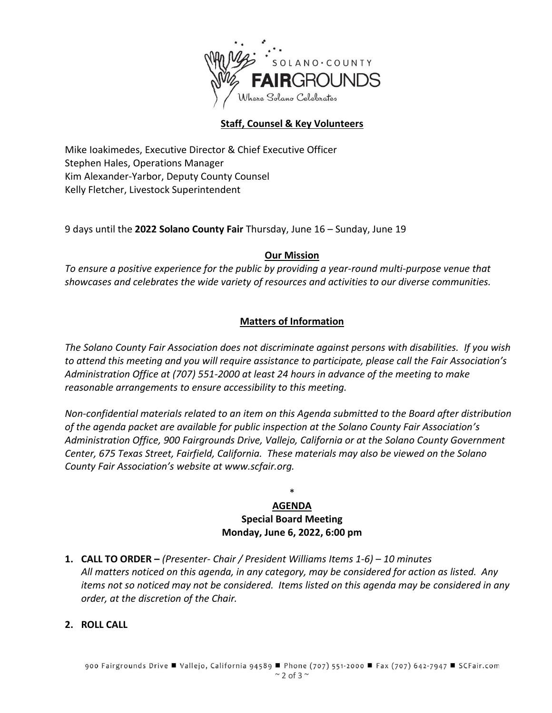

# **Staff, Counsel & Key Volunteers**

Mike Ioakimedes, Executive Director & Chief Executive Officer Stephen Hales, Operations Manager Kim Alexander-Yarbor, Deputy County Counsel Kelly Fletcher, Livestock Superintendent

9 days until the **2022 Solano County Fair** Thursday, June 16 – Sunday, June 19

# **Our Mission**

*To ensure a positive experience for the public by providing a year-round multi-purpose venue that showcases and celebrates the wide variety of resources and activities to our diverse communities.*

# **Matters of Information**

*The Solano County Fair Association does not discriminate against persons with disabilities. If you wish to attend this meeting and you will require assistance to participate, please call the Fair Association's Administration Office at (707) 551-2000 at least 24 hours in advance of the meeting to make reasonable arrangements to ensure accessibility to this meeting.*

*Non-confidential materials related to an item on this Agenda submitted to the Board after distribution of the agenda packet are available for public inspection at the Solano County Fair Association's Administration Office, 900 Fairgrounds Drive, Vallejo, California or at the Solano County Government Center, 675 Texas Street, Fairfield, California. These materials may also be viewed on the Solano County Fair Association's website at www.scfair.org.*

# \* **AGENDA Special Board Meeting Monday, June 6, 2022, 6:00 pm**

**1. CALL TO ORDER –** *(Presenter- Chair / President Williams Items 1-6) – 10 minutes All matters noticed on this agenda, in any category, may be considered for action as listed. Any items not so noticed may not be considered. Items listed on this agenda may be considered in any order, at the discretion of the Chair.*

# **2. ROLL CALL**